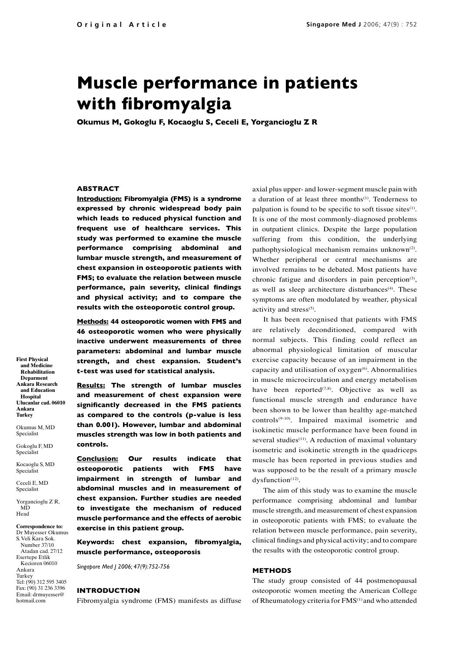# **Muscle performance in patients with fibromyalgia**

**Okumus M, Gokoglu F, Kocaoglu S, Ceceli E, Yorgancioglu Z R**

## **ABSTRACT**

**Introduction: Fibromyalgia (FMS) is a syndrome expressed by chronic widespread body pain which leads to reduced physical function and frequent use of healthcare services. This study was performed to examine the muscle performance comprising abdominal and lumbar muscle strength, and measurement of chest expansion in osteoporotic patients with FMS; to evaluate the relation between muscle performance, pain severity, clinical findings and physical activity; and to compare the results with the osteoporotic control group.**

**Methods: 44 osteoporotic women with FMS and 46 osteoporotic women who were physically inactive underwent measurements of three parameters: abdominal and lumbar muscle strength, and chest expansion. Student's t-test was used for statistical analysis.**

**Results: The strength of lumbar muscles and measurement of chest expansion were significantly decreased in the FMS patients as compared to the controls (p-value is less than 0.001). However, lumbar and abdominal muscles strength was low in both patients and controls.** 

**Conclusion: Our results indicate that osteoporotic patients with FMS have impairment in strength of lumbar and abdominal muscles and in measurement of chest expansion. Further studies are needed to investigate the mechanism of reduced muscle performance and the effects of aerobic exercise in this patient group.** 

**Keywords: chest expansion, fibromyalgia, muscle performance, osteoporosis** 

*Singapore Med J 2006; 47(9):752-756*

#### **INTRODUCTION**

Fibromyalgia syndrome (FMS) manifests as diffuse

axial plus upper- and lower-segment muscle pain with a duration of at least three months<sup>(1)</sup>. Tenderness to palpation is found to be specific to soft tissue sites<sup>(1)</sup>. It is one of the most commonly-diagnosed problems in outpatient clinics. Despite the large population suffering from this condition, the underlying pathophysiological mechanism remains unknown<sup>(2)</sup>. Whether peripheral or central mechanisms are involved remains to be debated. Most patients have chronic fatigue and disorders in pain perception<sup>(3)</sup>, as well as sleep architecture disturbances<sup>(4)</sup>. These symptoms are often modulated by weather, physical activity and stress $(5)$ .

It has been recognised that patients with FMS are relatively deconditioned, compared with normal subjects. This finding could reflect an abnormal physiological limitation of muscular exercise capacity because of an impairment in the capacity and utilisation of  $oxygen^{(6)}$ . Abnormalities in muscle microcirculation and energy metabolism have been reported $(7,8)$ . Objective as well as functional muscle strength and endurance have been shown to be lower than healthy age-matched controls(9-10). Impaired maximal isometric and isokinetic muscle performance have been found in several studies<sup>(11)</sup>. A reduction of maximal voluntary isometric and isokinetic strength in the quadriceps muscle has been reported in previous studies and was supposed to be the result of a primary muscle dysfunction $(12)$ .

The aim of this study was to examine the muscle performance comprising abdominal and lumbar muscle strength, and measurement of chest expansion in osteoporotic patients with FMS; to evaluate the relation between muscle performance, pain severity, clinical findings and physical activity; and to compare the results with the osteoporotic control group.

## **METHODS**

The study group consisted of 44 postmenopausal osteoporotic women meeting the American College of Rheumatology criteria for FMS<sup>(1)</sup> and who attended

**First Physical and Medicine Rehabilitation Deparment Ankara Research and Education Hospital Ulucanlar cad. 06010 Ankara Turkey** 

Okumus M, MD Specialist

Gokoglu F, MD Specialist

Kocaoglu S, MD Specialist

Ceceli E, MD Specialist

Yorgancioglu Z R, MD<sub>ND</sub> Head

**Correspondence to:** Dr Muyesser Okumus S. Veli Kara Sok. Number 37/10 Atadan cad. 27/12 Esertepe Etlik Kecioren 06010 Ankara Turkey Tel: (90) 312 595 3405 Fax: (90) 31 236 3396 Email: drmuyesser@ hotmail.com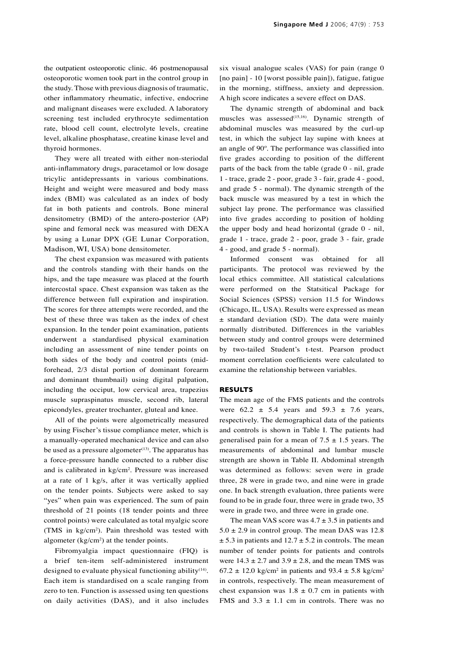the outpatient osteoporotic clinic. 46 postmenopausal

osteoporotic women took part in the control group in the study. Those with previous diagnosis of traumatic, other inflammatory rheumatic, infective, endocrine and malignant diseases were excluded. A laboratory screening test included erythrocyte sedimentation rate, blood cell count, electrolyte levels, creatine level, alkaline phosphatase, creatine kinase level and thyroid hormones.

They were all treated with either non-steriodal anti-inflammatory drugs, paracetamol or low dosage tricylic antidepressants in various combinations. Height and weight were measured and body mass index (BMI) was calculated as an index of body fat in both patients and controls. Bone mineral densitometry (BMD) of the antero-posterior (AP) spine and femoral neck was measured with DEXA by using a Lunar DPX (GE Lunar Corporation, Madison, WI, USA) bone densitometer.

The chest expansion was measured with patients and the controls standing with their hands on the hips, and the tape measure was placed at the fourth intercostal space. Chest expansion was taken as the difference between full expiration and inspiration. The scores for three attempts were recorded, and the best of these three was taken as the index of chest expansion. In the tender point examination, patients underwent a standardised physical examination including an assessment of nine tender points on both sides of the body and control points (midforehead, 2/3 distal portion of dominant forearm and dominant thumbnail) using digital palpation, including the occiput, low cervical area, trapezius muscle supraspinatus muscle, second rib, lateral epicondyles, greater trochanter, gluteal and knee.

All of the points were algometrically measured by using Fischer's tissue compliance meter, which is a manually-operated mechanical device and can also be used as a pressure algometer $(13)$ . The apparatus has a force-pressure handle connected to a rubber disc and is calibrated in kg/cm<sup>2</sup>. Pressure was increased at a rate of 1 kg/s, after it was vertically applied on the tender points. Subjects were asked to say "yes" when pain was experienced. The sum of pain threshold of 21 points (18 tender points and three control points) were calculated as total myalgic score (TMS in kg/cm2 ). Pain threshold was tested with algometer  $(kg/cm<sup>2</sup>)$  at the tender points.

Fibromyalgia impact questionnaire (FIQ) is a brief ten-item self-administered instrument designed to evaluate physical functioning ability<sup>(14)</sup>. Each item is standardised on a scale ranging from zero to ten. Function is assessed using ten questions on daily activities (DAS), and it also includes six visual analogue scales (VAS) for pain (range 0 [no pain] - 10 [worst possible pain]), fatigue, fatigue in the morning, stiffness, anxiety and depression. A high score indicates a severe effect on DAS.

The dynamic strength of abdominal and back muscles was assessed $(15,16)$ . Dynamic strength of abdominal muscles was measured by the curl-up test, in which the subject lay supine with knees at an angle of 90º. The performance was classified into five grades according to position of the different parts of the back from the table (grade 0 - nil, grade 1 - trace, grade 2 - poor, grade 3 - fair, grade 4 - good, and grade 5 - normal). The dynamic strength of the back muscle was measured by a test in which the subject lay prone. The performance was classified into five grades according to position of holding the upper body and head horizontal (grade 0 - nil, grade 1 - trace, grade 2 - poor, grade 3 - fair, grade 4 - good, and grade 5 - normal).

Informed consent was obtained for all participants. The protocol was reviewed by the local ethics committee. All statistical calculations were performed on the Statsitical Package for Social Sciences (SPSS) version 11.5 for Windows (Chicago, IL, USA). Results were expressed as mean ± standard deviation (SD). The data were mainly normally distributed. Differences in the variables between study and control groups were determined by two-tailed Student's t-test. Pearson product moment correlation coefficients were calculated to examine the relationship between variables.

### **RESULTS**

The mean age of the FMS patients and the controls were  $62.2 \pm 5.4$  years and  $59.3 \pm 7.6$  years, respectively. The demographical data of the patients and controls is shown in Table I. The patients had generalised pain for a mean of  $7.5 \pm 1.5$  years. The measurements of abdominal and lumbar muscle strength are shown in Table II. Abdominal strength was determined as follows: seven were in grade three, 28 were in grade two, and nine were in grade one. In back strength evaluation, three patients were found to be in grade four, three were in grade two, 35 were in grade two, and three were in grade one.

The mean VAS score was  $4.7 \pm 3.5$  in patients and  $5.0 \pm 2.9$  in control group. The mean DAS was 12.8  $\pm$  5.3 in patients and 12.7  $\pm$  5.2 in controls. The mean number of tender points for patients and controls were  $14.3 \pm 2.7$  and  $3.9 \pm 2.8$ , and the mean TMS was 67.2  $\pm$  12.0 kg/cm<sup>2</sup> in patients and 93.4  $\pm$  5.8 kg/cm<sup>2</sup> in controls, respectively. The mean measurement of chest expansion was  $1.8 \pm 0.7$  cm in patients with FMS and  $3.3 \pm 1.1$  cm in controls. There was no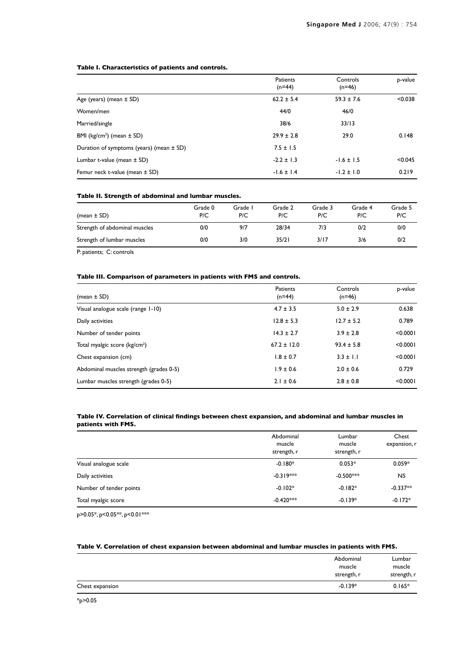### **Table I. Characteristics of patients and controls.**

|                                              | Patients<br>$(n=44)$ | Controls<br>$(n=46)$ | p-value |
|----------------------------------------------|----------------------|----------------------|---------|
| Age (years) (mean $\pm$ SD)                  | $62.2 \pm 5.4$       | $59.3 \pm 7.6$       | < 0.038 |
| Women/men                                    | 44/0                 | 46/0                 |         |
| Married/single                               | 38/6                 | 33/13                |         |
| BMI ( $kg/cm2$ ) (mean $\pm$ SD)             | $29.9 \pm 2.8$       | 29.0                 | 0.148   |
| Duration of symptoms (years) (mean $\pm$ SD) | $7.5 \pm 1.5$        |                      |         |
| Lumbar t-value (mean $\pm$ SD)               | $-2.2 \pm 1.3$       | $-1.6 \pm 1.5$       | < 0.045 |
| Femur neck t-value (mean $\pm$ SD)           | $-1.6 \pm 1.4$       | $-1.2 \pm 1.0$       | 0.219   |

#### **Table II. Strength of abdominal and lumbar muscles.**

| (mean $\pm$ SD)               | Grade 0<br>P/C | Grade I<br>P/C | Grade 2<br>P/C | Grade 3<br>P/C | Grade 4<br>P/C | Grade 5<br>P/C |
|-------------------------------|----------------|----------------|----------------|----------------|----------------|----------------|
| Strength of abdominal muscles | 0/0            | 9/7            | 28/34          | 7/3            | 0/2            | 0/0            |
| Strength of lumbar muscles    | 0/0            | 3/0            | 35/21          | 3/17           | 3/6            | 0/2            |

P: patients; C: controls

## **Table III. Comparison of parameters in patients with FMS and controls.**

| (mean $\pm$ SD)                           | Patients<br>$(n=44)$ | Controls<br>$(n=46)$ | p-value  |
|-------------------------------------------|----------------------|----------------------|----------|
| Visual analogue scale (range 1-10)        | $4.7 \pm 3.5$        | $5.0 \pm 2.9$        | 0.638    |
| Daily activities                          | $12.8 \pm 5.3$       | $12.7 \pm 5.2$       | 0.789    |
| Number of tender points                   | $14.3 \pm 2.7$       | $3.9 \pm 2.8$        | < 0.0001 |
| Total myalgic score (kg/cm <sup>2</sup> ) | $67.2 \pm 12.0$      | $93.4 \pm 5.8$       | < 0.0001 |
| Chest expansion (cm)                      | $1.8 \pm 0.7$        | $3.3 \pm 1.1$        | < 0.0001 |
| Abdominal muscles strength (grades 0-5)   | $1.9 \pm 0.6$        | $2.0 \pm 0.6$        | 0.729    |
| Lumbar muscles strength (grades 0-5)      | $2.1 \pm 0.6$        | $2.8 \pm 0.8$        | < 0.0001 |

### **Table IV. Correlation of clinical findings between chest expansion, and abdominal and lumbar muscles in patients with FMS.**

|                         | Abdominal<br>muscle<br>strength, r | Lumbar<br>muscle<br>strength, r | Chest<br>expansion, r |
|-------------------------|------------------------------------|---------------------------------|-----------------------|
| Visual analogue scale   | $-0.180*$                          | $0.053*$                        | $0.059*$              |
| Daily activities        | $-0.319***$                        | $-0.500***$                     | NS.                   |
| Number of tender points | $-0.102*$                          | $-0.182*$                       | $-0.337**$            |
| Total myalgic score     | $-0.420***$                        | $-0.139*$                       | $-0.172*$             |

p>0.05\*, p<0.05\*\*, p<0.01\*\*\*

## **Table V. Correlation of chest expansion between abdominal and lumbar muscles in patients with FMS.**

|                 | Abdominal<br>muscle<br>strength, r | Lumbar<br>muscle<br>strength, r |
|-----------------|------------------------------------|---------------------------------|
| Chest expansion | $-0.139*$                          | $0.165*$                        |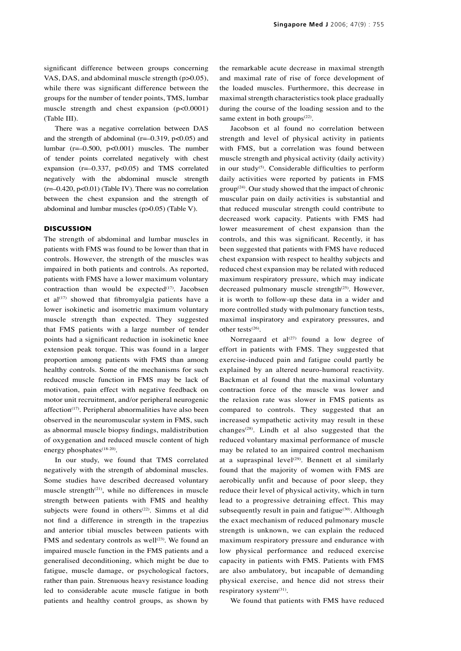significant difference between groups concerning VAS, DAS, and abdominal muscle strength (p>0.05), while there was significant difference between the groups for the number of tender points, TMS, lumbar muscle strength and chest expansion (p<0.0001) (Table III).

There was a negative correlation between DAS and the strength of abdominal ( $r=-0.319$ ,  $p<0.05$ ) and lumbar (r=–0.500, p<0.001) muscles. The number of tender points correlated negatively with chest expansion  $(r=-0.337, p<0.05)$  and TMS correlated negatively with the abdominal muscle strength (r=–0.420, p<0.01) (Table IV). There was no correlation between the chest expansion and the strength of abdominal and lumbar muscles (p>0.05) (Table V).

#### **DISCUSSION**

The strength of abdominal and lumbar muscles in patients with FMS was found to be lower than that in controls. However, the strength of the muscles was impaired in both patients and controls. As reported, patients with FMS have a lower maximum voluntary contraction than would be expected $(17)$ . Jacobsen et al $(17)$  showed that fibromyalgia patients have a lower isokinetic and isometric maximum voluntary muscle strength than expected. They suggested that FMS patients with a large number of tender points had a significant reduction in isokinetic knee extension peak torque. This was found in a larger proportion among patients with FMS than among healthy controls. Some of the mechanisms for such reduced muscle function in FMS may be lack of motivation, pain effect with negative feedback on motor unit recruitment, and/or peripheral neurogenic affection<sup>(17)</sup>. Peripheral abnormalities have also been observed in the neuromuscular system in FMS, such as abnormal muscle biopsy findings, maldistribution of oxygenation and reduced muscle content of high energy phosphates<sup>(18-20)</sup>.

In our study, we found that TMS correlated negatively with the strength of abdominal muscles. Some studies have described decreased voluntary muscle strength<sup> $(21)$ </sup>, while no differences in muscle strength between patients with FMS and healthy subjects were found in others<sup>(22)</sup>. Simms et al did not find a difference in strength in the trapezius and anterior tibial muscles between patients with FMS and sedentary controls as well $(23)$ . We found an impaired muscle function in the FMS patients and a generalised deconditioning, which might be due to fatigue, muscle damage, or psychological factors, rather than pain. Strenuous heavy resistance loading led to considerable acute muscle fatigue in both patients and healthy control groups, as shown by

the remarkable acute decrease in maximal strength and maximal rate of rise of force development of the loaded muscles. Furthermore, this decrease in maximal strength characteristics took place gradually during the course of the loading session and to the same extent in both groups $(22)$ .

Jacobson et al found no correlation between strength and level of physical activity in patients with FMS, but a correlation was found between muscle strength and physical activity (daily activity) in our study<sup>(5)</sup>. Considerable difficulties to perform daily activities were reported by patients in FMS  $group^{(24)}$ . Our study showed that the impact of chronic muscular pain on daily activities is substantial and that reduced muscular strength could contribute to decreased work capacity. Patients with FMS had lower measurement of chest expansion than the controls, and this was significant. Recently, it has been suggested that patients with FMS have reduced chest expansion with respect to healthy subjects and reduced chest expansion may be related with reduced maximum respiratory pressure, which may indicate decreased pulmonary muscle strength<sup>(25)</sup>. However, it is worth to follow-up these data in a wider and more controlled study with pulmonary function tests, maximal inspiratory and expiratory pressures, and other tests $^{(26)}$ .

Norregaard et  $al^{(27)}$  found a low degree of effort in patients with FMS. They suggested that exercise-induced pain and fatigue could partly be explained by an altered neuro-humoral reactivity. Backman et al found that the maximal voluntary contraction force of the muscle was lower and the relaxion rate was slower in FMS patients as compared to controls. They suggested that an increased sympathetic activity may result in these changes<sup> $(28)$ </sup>. Lindh et al also suggested that the reduced voluntary maximal performance of muscle may be related to an impaired control mechanism at a supraspinal level<sup>(29)</sup>. Bennett et al similarly found that the majority of women with FMS are aerobically unfit and because of poor sleep, they reduce their level of physical activity, which in turn lead to a progressive detraining effect. This may subsequently result in pain and fatigue<sup>(30)</sup>. Although the exact mechanism of reduced pulmonary muscle strength is unknown, we can explain the reduced maximum respiratory pressure and endurance with low physical performance and reduced exercise capacity in patients with FMS. Patients with FMS are also ambulatory, but incapable of demanding physical exercise, and hence did not stress their respiratory system<sup>(31)</sup>.

We found that patients with FMS have reduced